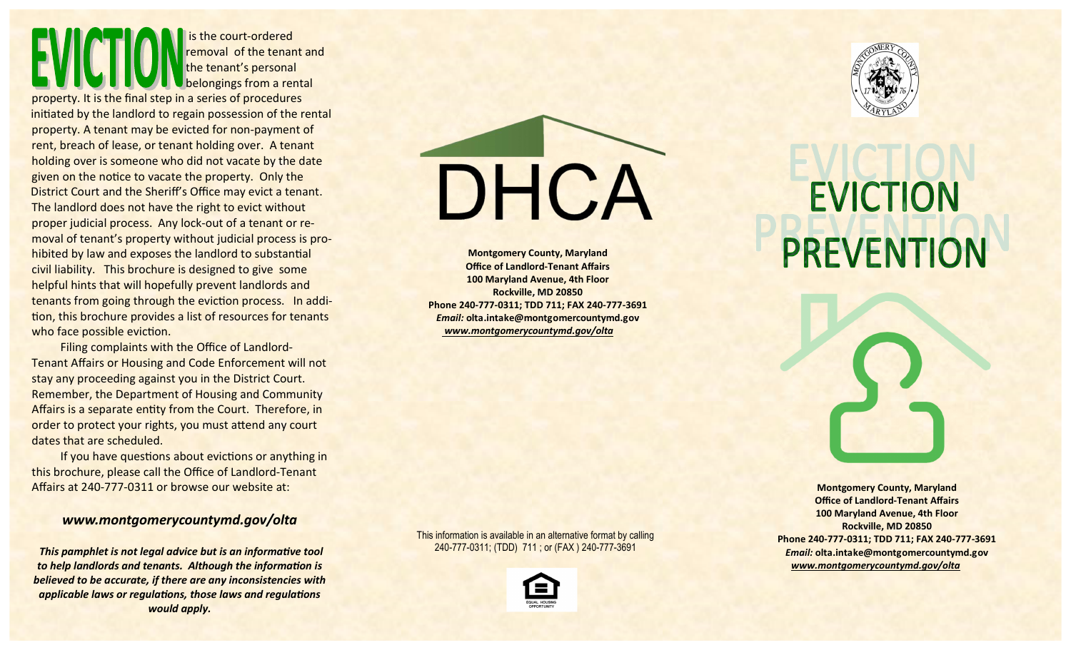is the court-ordered removal of the tenant and the tenant's personal belongings from a rental

property. It is the final step in a series of procedures initiated by the landlord to regain possession of the rental property. A tenant may be evicted for non-payment of rent, breach of lease, or tenant holding over. A tenant holding over is someone who did not vacate by the date given on the notice to vacate the property. Only the District Court and the Sheriff's Office may evict a tenant. The landlord does not have the right to evict without proper judicial process. Any lock-out of a tenant or removal of tenant's property without judicial process is prohibited by law and exposes the landlord to substantial civil liability. This brochure is designed to give some helpful hints that will hopefully prevent landlords and tenants from going through the eviction process. In addition, this brochure provides a list of resources for tenants who face possible eviction.

 Filing complaints with the Office of Landlord-Tenant Affairs or Housing and Code Enforcement will not stay any proceeding against you in the District Court. Remember, the Department of Housing and Community Affairs is a separate entity from the Court. Therefore, in order to protect your rights, you must attend any court dates that are scheduled.

If you have questions about evictions or anything in this brochure, please call the Office of Landlord-Tenant Affairs at 240-777-0311 or browse our website at:

### www.montgomerycountymd.gov/olta

This pamphlet is not legal advice but is an informative tool to help landlords and tenants. Although the information is believed to be accurate, if there are any inconsistencies with applicable laws or regulations, those laws and regulations would apply.

DHCA

Montgomery County, Maryland Office of Landlord-Tenant Affairs 100 Maryland Avenue, 4th Floor Rockville, MD 20850 Phone 240-777-0311; TDD 711; FAX 240-777-3691 Email: olta.intake@montgomercountymd.gov www.montgomerycountymd.gov/olta







# **EVICTION PREVENTION**

Montgomery County, Maryland Office of Landlord-Tenant Affairs 100 Maryland Avenue, 4th Floor Rockville, MD 20850 Phone 240-777-0311; TDD 711; FAX 240-777-3691 Email: olta.intake@montgomercountymd.gov www.montgomerycountymd.gov/olta